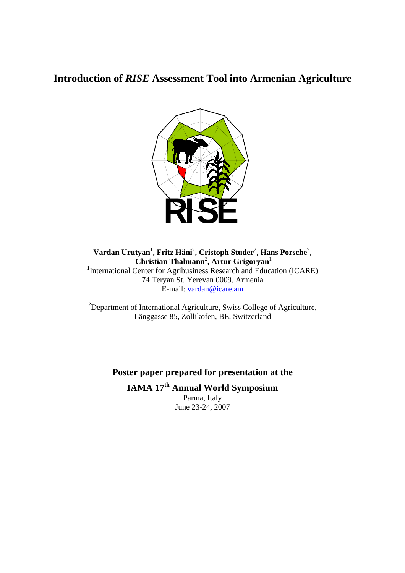# **Introduction of** *RISE* **Assessment Tool into Armenian Agriculture**



 $\bf{V}$ ardan Urutyan<sup>1</sup>, Fritz Häni<sup>2</sup>, Cristoph Studer<sup>2</sup>, Hans Porsche<sup>2</sup>,  **Christian Thalmann**<sup>2</sup> **, Artur Grigoryan**<sup>1</sup> <sup>1</sup>International Center for Agribusiness Research and Education (ICARE) 74 Teryan St. Yerevan 0009, Armenia E-mail: vardan@icare.am

 $2$ Department of International Agriculture, Swiss College of Agriculture, Länggasse 85, Zollikofen, BE, Switzerland

## **Poster paper prepared for presentation at the**

**IAMA 17th Annual World Symposium**  Parma, Italy June 23-24, 2007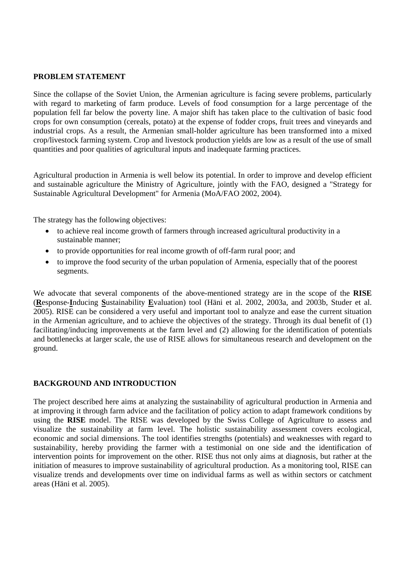#### **PROBLEM STATEMENT**

Since the collapse of the Soviet Union, the Armenian agriculture is facing severe problems, particularly with regard to marketing of farm produce. Levels of food consumption for a large percentage of the population fell far below the poverty line. A major shift has taken place to the cultivation of basic food crops for own consumption (cereals, potato) at the expense of fodder crops, fruit trees and vineyards and industrial crops. As a result, the Armenian small-holder agriculture has been transformed into a mixed crop/livestock farming system. Crop and livestock production yields are low as a result of the use of small quantities and poor qualities of agricultural inputs and inadequate farming practices.

Agricultural production in Armenia is well below its potential. In order to improve and develop efficient and sustainable agriculture the Ministry of Agriculture, jointly with the FAO, designed a "Strategy for Sustainable Agricultural Development" for Armenia (MoA/FAO 2002, 2004).

The strategy has the following objectives:

- to achieve real income growth of farmers through increased agricultural productivity in a sustainable manner;
- to provide opportunities for real income growth of off-farm rural poor; and
- to improve the food security of the urban population of Armenia, especially that of the poorest segments.

We advocate that several components of the above-mentioned strategy are in the scope of the **RISE** (**R**esponse-**I**nducing **S**ustainability **E**valuation) tool (Häni et al. 2002, 2003a, and 2003b, Studer et al. 2005). RISE can be considered a very useful and important tool to analyze and ease the current situation in the Armenian agriculture, and to achieve the objectives of the strategy. Through its dual benefit of (1) facilitating/inducing improvements at the farm level and (2) allowing for the identification of potentials and bottlenecks at larger scale, the use of RISE allows for simultaneous research and development on the ground.

## **BACKGROUND AND INTRODUCTION**

The project described here aims at analyzing the sustainability of agricultural production in Armenia and at improving it through farm advice and the facilitation of policy action to adapt framework conditions by using the **RISE** model. The RISE was developed by the Swiss College of Agriculture to assess and visualize the sustainability at farm level. The holistic sustainability assessment covers ecological, economic and social dimensions. The tool identifies strengths (potentials) and weaknesses with regard to sustainability, hereby providing the farmer with a testimonial on one side and the identification of intervention points for improvement on the other. RISE thus not only aims at diagnosis, but rather at the initiation of measures to improve sustainability of agricultural production. As a monitoring tool, RISE can visualize trends and developments over time on individual farms as well as within sectors or catchment areas (Häni et al. 2005).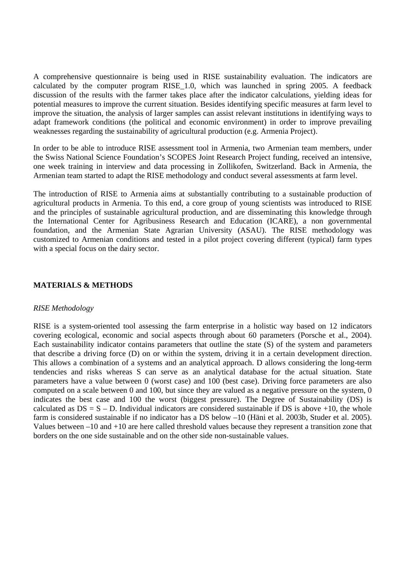A comprehensive questionnaire is being used in RISE sustainability evaluation. The indicators are calculated by the computer program RISE\_1.0, which was launched in spring 2005. A feedback discussion of the results with the farmer takes place after the indicator calculations, yielding ideas for potential measures to improve the current situation. Besides identifying specific measures at farm level to improve the situation, the analysis of larger samples can assist relevant institutions in identifying ways to adapt framework conditions (the political and economic environment) in order to improve prevailing weaknesses regarding the sustainability of agricultural production (e.g. Armenia Project).

In order to be able to introduce RISE assessment tool in Armenia, two Armenian team members, under the Swiss National Science Foundation's SCOPES Joint Research Project funding, received an intensive, one week training in interview and data processing in Zollikofen, Switzerland. Back in Armenia, the Armenian team started to adapt the RISE methodology and conduct several assessments at farm level.

The introduction of RISE to Armenia aims at substantially contributing to a sustainable production of agricultural products in Armenia. To this end, a core group of young scientists was introduced to RISE and the principles of sustainable agricultural production, and are disseminating this knowledge through the International Center for Agribusiness Research and Education (ICARE), a non governmental foundation, and the Armenian State Agrarian University (ASAU). The RISE methodology was customized to Armenian conditions and tested in a pilot project covering different (typical) farm types with a special focus on the dairy sector.

## **MATERIALS & METHODS**

#### *RISE Methodology*

RISE is a system-oriented tool assessing the farm enterprise in a holistic way based on 12 indicators covering ecological, economic and social aspects through about 60 parameters (Porsche et al., 2004). Each sustainability indicator contains parameters that outline the state (S) of the system and parameters that describe a driving force (D) on or within the system, driving it in a certain development direction. This allows a combination of a systems and an analytical approach. D allows considering the long-term tendencies and risks whereas S can serve as an analytical database for the actual situation. State parameters have a value between 0 (worst case) and 100 (best case). Driving force parameters are also computed on a scale between 0 and 100, but since they are valued as a negative pressure on the system, 0 indicates the best case and 100 the worst (biggest pressure). The Degree of Sustainability (DS) is calculated as  $DS = S - D$ . Individual indicators are considered sustainable if DS is above +10, the whole farm is considered sustainable if no indicator has a DS below –10 (Häni et al. 2003b, Studer et al. 2005). Values between –10 and +10 are here called threshold values because they represent a transition zone that borders on the one side sustainable and on the other side non-sustainable values.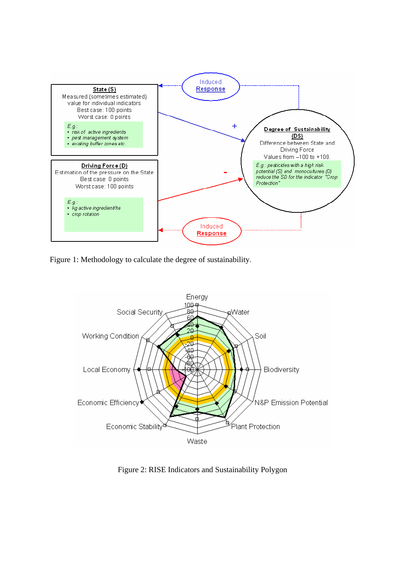

Figure 1: Methodology to calculate the degree of sustainability.



Figure 2: RISE Indicators and Sustainability Polygon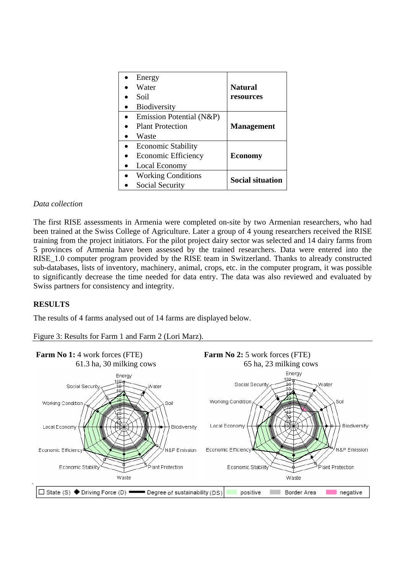| Energy                     |                         |
|----------------------------|-------------------------|
| Water                      | <b>Natural</b>          |
| Soil                       | resources               |
| Biodiversity               |                         |
| Emission Potential (N&P)   |                         |
| <b>Plant Protection</b>    | <b>Management</b>       |
| Waste                      |                         |
| <b>Economic Stability</b>  | <b>Economy</b>          |
| <b>Economic Efficiency</b> |                         |
| Local Economy              |                         |
| <b>Working Conditions</b>  | <b>Social situation</b> |
| <b>Social Security</b>     |                         |

## *Data collection*

The first RISE assessments in Armenia were completed on-site by two Armenian researchers, who had been trained at the Swiss College of Agriculture. Later a group of 4 young researchers received the RISE training from the project initiators. For the pilot project dairy sector was selected and 14 dairy farms from 5 provinces of Armenia have been assessed by the trained researchers. Data were entered into the RISE\_1.0 computer program provided by the RISE team in Switzerland. Thanks to already constructed sub-databases, lists of inventory, machinery, animal, crops, etc. in the computer program, it was possible to significantly decrease the time needed for data entry. The data was also reviewed and evaluated by Swiss partners for consistency and integrity.

## **RESULTS**

The results of 4 farms analysed out of 14 farms are displayed below.

Figure 3: Results for Farm 1 and Farm 2 (Lori Marz).

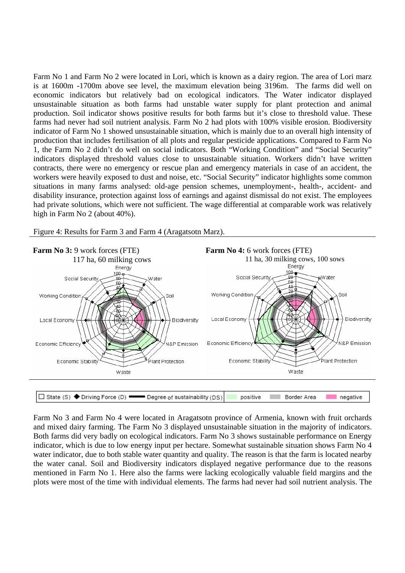Farm No 1 and Farm No 2 were located in Lori, which is known as a dairy region. The area of Lori marz is at 1600m -1700m above see level, the maximum elevation being 3196m. The farms did well on economic indicators but relatively bad on ecological indicators. The Water indicator displayed unsustainable situation as both farms had unstable water supply for plant protection and animal production. Soil indicator shows positive results for both farms but it's close to threshold value. These farms had never had soil nutrient analysis. Farm No 2 had plots with 100% visible erosion. Biodiversity indicator of Farm No 1 showed unsustainable situation, which is mainly due to an overall high intensity of production that includes fertilisation of all plots and regular pesticide applications. Compared to Farm No 1, the Farm No 2 didn't do well on social indicators. Both "Working Condition" and "Social Security" indicators displayed threshold values close to unsustainable situation. Workers didn't have written contracts, there were no emergency or rescue plan and emergency materials in case of an accident, the workers were heavily exposed to dust and noise, etc. "Social Security" indicator highlights some common situations in many farms analysed: old-age pension schemes, unemployment-, health-, accident- and disability insurance, protection against loss of earnings and against dismissal do not exist. The employees had private solutions, which were not sufficient. The wage differential at comparable work was relatively high in Farm No 2 (about 40%).

Figure 4: Results for Farm 3 and Farm 4 (Aragatsotn Marz).



Farm No 3 and Farm No 4 were located in Aragatsotn province of Armenia, known with fruit orchards and mixed dairy farming. The Farm No 3 displayed unsustainable situation in the majority of indicators. Both farms did very badly on ecological indicators. Farm No 3 shows sustainable performance on Energy indicator, which is due to low energy input per hectare. Somewhat sustainable situation shows Farm No 4 water indicator, due to both stable water quantity and quality. The reason is that the farm is located nearby the water canal. Soil and Biodiversity indicators displayed negative performance due to the reasons mentioned in Farm No 1. Here also the farms were lacking ecologically valuable field margins and the plots were most of the time with individual elements. The farms had never had soil nutrient analysis. The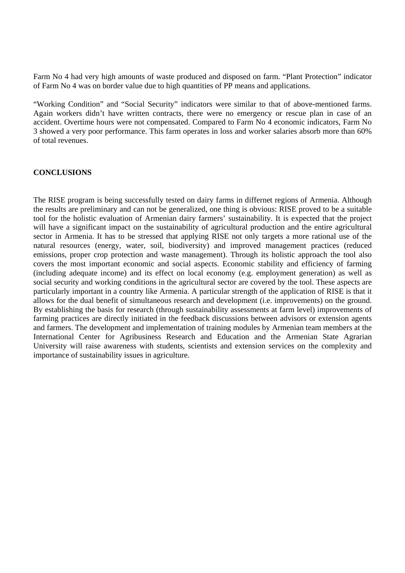Farm No 4 had very high amounts of waste produced and disposed on farm. "Plant Protection" indicator of Farm No 4 was on border value due to high quantities of PP means and applications.

"Working Condition" and "Social Security" indicators were similar to that of above-mentioned farms. Again workers didn't have written contracts, there were no emergency or rescue plan in case of an accident. Overtime hours were not compensated. Compared to Farm No 4 economic indicators, Farm No 3 showed a very poor performance. This farm operates in loss and worker salaries absorb more than 60% of total revenues.

## **CONCLUSIONS**

The RISE program is being successfully tested on dairy farms in differnet regions of Armenia. Although the results are preliminary and can not be generalized, one thing is obvious: RISE proved to be a suitable tool for the holistic evaluation of Armenian dairy farmers' sustainability. It is expected that the project will have a significant impact on the sustainability of agricultural production and the entire agricultural sector in Armenia. It has to be stressed that applying RISE not only targets a more rational use of the natural resources (energy, water, soil, biodiversity) and improved management practices (reduced emissions, proper crop protection and waste management). Through its holistic approach the tool also covers the most important economic and social aspects. Economic stability and efficiency of farming (including adequate income) and its effect on local economy (e.g. employment generation) as well as social security and working conditions in the agricultural sector are covered by the tool. These aspects are particularly important in a country like Armenia. A particular strength of the application of RISE is that it allows for the dual benefit of simultaneous research and development (i.e. improvements) on the ground. By establishing the basis for research (through sustainability assessments at farm level) improvements of farming practices are directly initiated in the feedback discussions between advisors or extension agents and farmers. The development and implementation of training modules by Armenian team members at the International Center for Agribusiness Research and Education and the Armenian State Agrarian University will raise awareness with students, scientists and extension services on the complexity and importance of sustainability issues in agriculture.